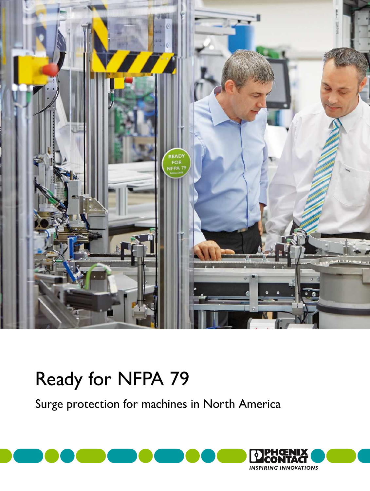

# Ready for NFPA 79

Surge protection for machines in North America

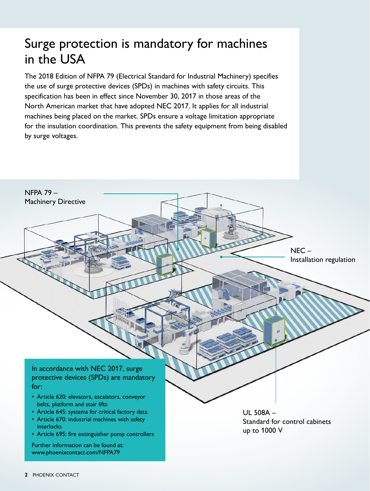# Surge protection is mandatory for machines in the USA

The 2018 Edition of NFPA 79 (Electrical Standard for Industrial Machinery) specifies the use of surge protective devices (SPDs) in machines with safety circuits. This specification has been in effect since November 30, 2017 in those areas of the North American market that have adopted NEC 2017. It applies for all industrial machines being placed on the market. SPDs ensure a voltage limitation appropriate for the insulation coordination. This prevents the safety equipment from being disabled by surge voltages.

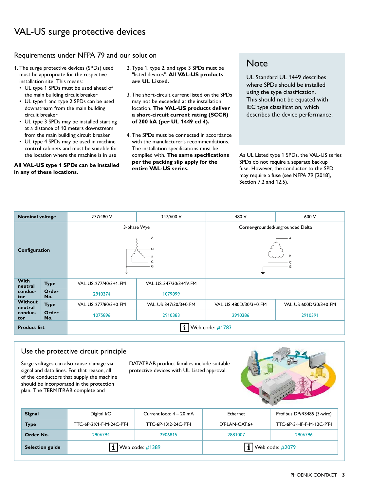#### Requirements under NFPA 79 and our solution

- 1. The surge protective devices (SPDs) used must be appropriate for the respective installation site. This means:
	- UL type 1 SPDs must be used ahead of the main building circuit breaker
	- UL type 1 and type 2 SPDs can be used downstream from the main building circuit breaker
	- UL type 3 SPDs may be installed starting at a distance of 10 meters downstream from the main building circuit breaker
	- UL type 4 SPDs may be used in machine control cabinets and must be suitable for the location where the machine is in use

**All VAL-US type 1 SPDs can be installed in any of these locations.**

- 2. Type 1, type 2, and type 3 SPDs must be "listed devices". **All VAL-US products are UL Listed.**
- 3. The short-circuit current listed on the SPDs may not be exceeded at the installation location. **The VAL-US products deliver a short-circuit current rating (SCCR) of 200 kA (per UL 1449 ed 4).**
- 4. The SPDs must be connected in accordance with the manufacturer's recommendations. The installation specifications must be complied with. **The same specifications per the packing slip apply for the entire VAL-US series.**

### **Note**

UL Standard UL 1449 describes where SPDs should be installed using the type classification. This should not be equated with IEC type classification, which describes the device performance.

As UL Listed type 1 SPDs, the VAL-US series SPDs do not require a separate backup fuse. However, the conductor to the SPD may require a fuse (see NFPA 79 [2018], Section 7.2 and 12.5).

| <b>Nominal voltage</b>                      |              | 277/480 V            | 347/600 V             | 480 V                            | 600 V                 |  |
|---------------------------------------------|--------------|----------------------|-----------------------|----------------------------------|-----------------------|--|
|                                             |              | 3-phase Wye          |                       | Corner-grounded/ungrounded Delta |                       |  |
| Configuration                               |              | N<br>G<br>÷          |                       | G<br>吉                           |                       |  |
| <b>With</b><br>neutral<br>conduc-<br>tor    | <b>Type</b>  | VAL-US-277/40/3+1-FM | VAL-US-347/30/3+1V-FM |                                  |                       |  |
|                                             | Order<br>No. | 2910374              | 1079099               |                                  |                       |  |
| <b>Without</b><br>neutral<br>conduc-<br>tor | <b>Type</b>  | VAL-US-277/80/3+0-FM | VAL-US-347/30/3+0-FM  | VAL-US-480D/30/3+0-FM            | VAL-US-600D/30/3+0-FM |  |
|                                             | Order<br>No. | 1075896              | 2910383               | 2910386                          | 2910391               |  |
| <b>Product list</b>                         |              | Web code: #1783      |                       |                                  |                       |  |

#### Use the protective circuit principle

Surge voltages can also cause damage via signal and data lines. For that reason, all of the conductors that supply the machine should be incorporated in the protection plan. The TERMITRAB complete and

DATATRAB product families include suitable protective devices with UL Listed approval.



| <b>Signal</b>          | Digital I/O                   | Current loop: 4 - 20 mA | Ethernet                     | Profibus DP/RS485 (3-wire) |
|------------------------|-------------------------------|-------------------------|------------------------------|----------------------------|
| <b>Type</b>            | TTC-6P-2X1-F-M-24C-PT-I       | TTC-6P-1X2-24C-PT-I     | DT-LAN-CAT.6+                | TTC-6P-3-HF-F-M-12C-PT-I   |
| Order No.              | 2906794                       | 2906815                 | 2881007                      | 2906796                    |
| <b>Selection guide</b> | $\mathbf i$   Web code: #1389 |                         | $\mathbf{i}$ Web code: #2079 |                            |